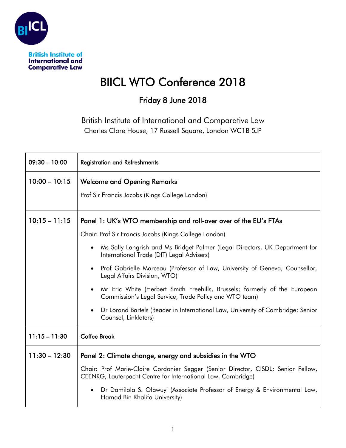

## BIICL WTO Conference 2018

## Friday 8 June 2018

British Institute of International and Comparative Law Charles Clore House, 17 Russell Square, London WC1B 5JP

| $09:30 - 10:00$ | <b>Registration and Refreshments</b>                                                                                                                                                                                                                                                                                                                                                                                                                                                                                                                                                                                                                  |
|-----------------|-------------------------------------------------------------------------------------------------------------------------------------------------------------------------------------------------------------------------------------------------------------------------------------------------------------------------------------------------------------------------------------------------------------------------------------------------------------------------------------------------------------------------------------------------------------------------------------------------------------------------------------------------------|
| $10:00 - 10:15$ | <b>Welcome and Opening Remarks</b><br>Prof Sir Francis Jacobs (Kings College London)                                                                                                                                                                                                                                                                                                                                                                                                                                                                                                                                                                  |
| $10:15 - 11:15$ | Panel 1: UK's WTO membership and roll-over over of the EU's FTAs<br>Chair: Prof Sir Francis Jacobs (Kings College London)<br>Ms Sally Langrish and Ms Bridget Palmer (Legal Directors, UK Department for<br>$\bullet$<br>International Trade (DIT) Legal Advisers)<br>• Prof Gabrielle Marceau (Professor of Law, University of Geneva; Counsellor,<br>Legal Affairs Division, WTO)<br>• Mr Eric White (Herbert Smith Freehills, Brussels; formerly of the European<br>Commission's Legal Service, Trade Policy and WTO team)<br>Dr Lorand Bartels (Reader in International Law, University of Cambridge; Senior<br>$\bullet$<br>Counsel, Linklaters) |
| $11:15 - 11:30$ | <b>Coffee Break</b>                                                                                                                                                                                                                                                                                                                                                                                                                                                                                                                                                                                                                                   |
| $11:30 - 12:30$ | Panel 2: Climate change, energy and subsidies in the WTO<br>Chair: Prof Marie-Claire Cordonier Segger (Senior Director, CISDL; Senior Fellow,<br>CEENRG; Lauterpacht Centre for International Law, Cambridge)<br>Dr Damilola S. Olawuyi (Associate Professor of Energy & Environmental Law,<br>$\bullet$<br>Hamad Bin Khalifa University)                                                                                                                                                                                                                                                                                                             |